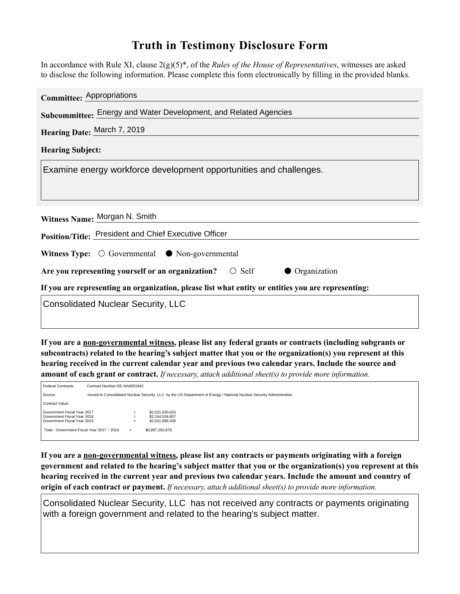## **Truth in Testimony Disclosure Form**

In accordance with Rule XI, clause 2(g)(5)\*, of the *Rules of the House of Representatives*, witnesses are asked to disclose the following information. Please complete this form electronically by filling in the provided blanks.

| Committee: Appropriations                                                                          |  |  |  |  |
|----------------------------------------------------------------------------------------------------|--|--|--|--|
| Subcommittee: Energy and Water Development, and Related Agencies                                   |  |  |  |  |
| Hearing Date: March 7, 2019                                                                        |  |  |  |  |
| <b>Hearing Subject:</b>                                                                            |  |  |  |  |
| Examine energy workforce development opportunities and challenges.                                 |  |  |  |  |
| Witness Name: Morgan N. Smith                                                                      |  |  |  |  |
| Position/Title: President and Chief Executive Officer                                              |  |  |  |  |
| <b>Witness Type:</b> $\bigcirc$ Governmental $\bullet$ Non-governmental                            |  |  |  |  |
| Are you representing yourself or an organization? $\bigcirc$ Self<br>• Organization                |  |  |  |  |
| If you are representing an organization, please list what entity or entities you are representing: |  |  |  |  |
| <b>Consolidated Nuclear Security, LLC</b>                                                          |  |  |  |  |

**If you are a non-governmental witness, please list any federal grants or contracts (including subgrants or subcontracts) related to the hearing's subject matter that you or the organization(s) you represent at this hearing received in the current calendar year and previous two calendar years. Include the source and amount of each grant or contract.** *If necessary, attach additional sheet(s) to provide more information.*

| Federal Contracts:                                                                                                                                                  | Contract Number DE-NA0001942                                                                                           |  |                                                                          |  |
|---------------------------------------------------------------------------------------------------------------------------------------------------------------------|------------------------------------------------------------------------------------------------------------------------|--|--------------------------------------------------------------------------|--|
| Source:                                                                                                                                                             | issued to Consolidated Nuclear Security, LLC by the US Department of Energy / National Nuclear Security Administration |  |                                                                          |  |
| Contract Value:                                                                                                                                                     |                                                                                                                        |  |                                                                          |  |
| Government Fiscal Year 2017<br>$=$<br>Government Fiscal Year 2018<br>$=$<br>Government Fiscal Year 2019<br>$=$<br>Total - Government Fiscal Year 2017 - 2019<br>$=$ |                                                                                                                        |  | \$2,021,030,633<br>\$2,244,534,807<br>\$2,631,698,436<br>\$6,897,263,876 |  |

**If you are a non-governmental witness, please list any contracts or payments originating with a foreign government and related to the hearing's subject matter that you or the organization(s) you represent at this hearing received in the current year and previous two calendar years. Include the amount and country of origin of each contract or payment.** *If necessary, attach additional sheet(s) to provide more information.*

Consolidated Nuclear Security, LLC has not received any contracts or payments originating with a foreign government and related to the hearing's subject matter.